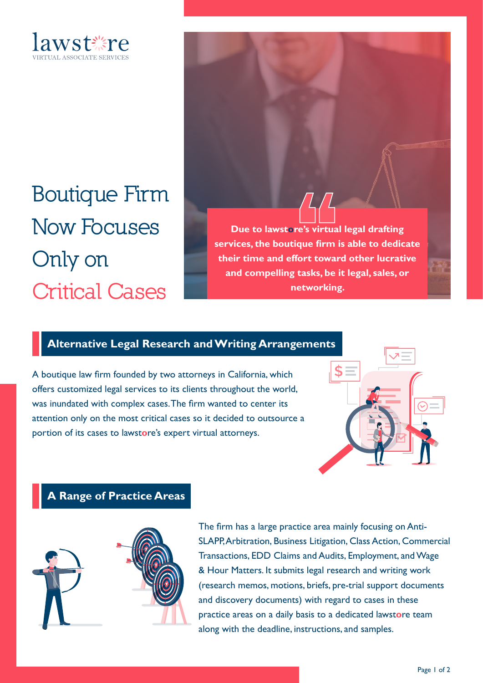

**Boutique Firm Now Focuses Only on Critical Cases**

**Due to lawstore's virtual legal drafting services, the boutique firm is able to dedicate their time and effort toward other lucrative and compelling tasks, be it legal, sales, or networking.**

## **Alternative Legal Research and Writing Arrangements**

A boutique law firm founded by two attorneys in California, which offers customized legal services to its clients throughout the world, was inundated with complex cases. The firm wanted to center its attention only on the most critical cases so it decided to outsource a portion of its cases to lawst**o**re's expert virtual attorneys.



## **A Range of Practice Areas**



The firm has a large practice area mainly focusing on Anti-SLAPP, Arbitration, Business Litigation, Class Action, Commercial Transactions, EDD Claims and Audits, Employment, and Wage & Hour Matters. It submits legal research and writing work (research memos, motions, briefs, pre-trial support documents and discovery documents) with regard to cases in these practice areas on a daily basis to a dedicated lawst**o**re team along with the deadline, instructions, and samples.